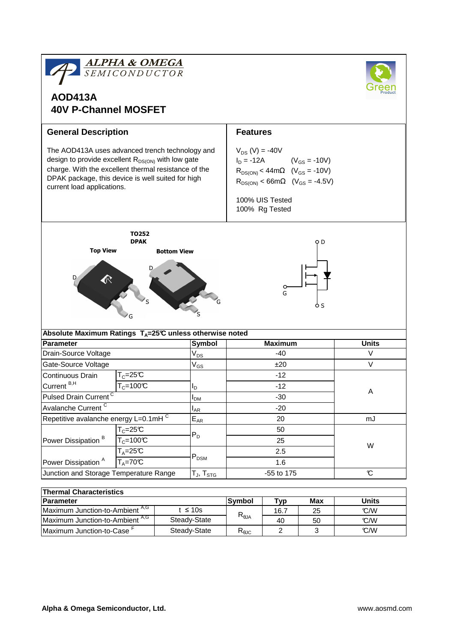| <b>ALPHA &amp; OMEGA</b><br>SEMICONDUCTOR<br><b>AOD413A</b><br><b>40V P-Channel MOSFET</b>                                                                                                                                                           |                            |                 |                              |                                                                                                                                                                                                          |                |              |              |  |  |
|------------------------------------------------------------------------------------------------------------------------------------------------------------------------------------------------------------------------------------------------------|----------------------------|-----------------|------------------------------|----------------------------------------------------------------------------------------------------------------------------------------------------------------------------------------------------------|----------------|--------------|--------------|--|--|
| <b>General Description</b>                                                                                                                                                                                                                           |                            | <b>Features</b> |                              |                                                                                                                                                                                                          |                |              |              |  |  |
| The AOD413A uses advanced trench technology and<br>design to provide excellent $R_{DS(ON)}$ with low gate<br>charge. With the excellent thermal resistance of the<br>DPAK package, this device is well suited for high<br>current load applications. |                            |                 |                              | $V_{DS}$ (V) = -40V<br>$I_D = -12A$<br>$(V_{GS} = -10V)$<br>$R_{DS(ON)} < 44m\Omega$ (V <sub>GS</sub> = -10V)<br>$R_{DS(ON)} < 66m\Omega$ (V <sub>GS</sub> = -4.5V)<br>100% UIS Tested<br>100% Rg Tested |                |              |              |  |  |
| TO252<br><b>DPAK</b><br>O D<br><b>Top View</b><br><b>Bottom View</b><br>G<br>o s                                                                                                                                                                     |                            |                 |                              |                                                                                                                                                                                                          |                |              |              |  |  |
| Absolute Maximum Ratings $T_A=25^\circ C$ unless otherwise noted                                                                                                                                                                                     |                            |                 |                              |                                                                                                                                                                                                          |                |              |              |  |  |
| Parameter                                                                                                                                                                                                                                            |                            |                 | Symbol                       |                                                                                                                                                                                                          | <b>Maximum</b> | <b>Units</b> |              |  |  |
| Drain-Source Voltage                                                                                                                                                                                                                                 |                            |                 | $V_{DS}$                     |                                                                                                                                                                                                          | $-40$          | V            |              |  |  |
| Gate-Source Voltage                                                                                                                                                                                                                                  |                            |                 | V <sub>GS</sub>              |                                                                                                                                                                                                          | ±20            | V            |              |  |  |
| <b>Continuous Drain</b>                                                                                                                                                                                                                              | $T_c = 25C$                |                 |                              | $-12$                                                                                                                                                                                                    |                |              | Α            |  |  |
| Current <sup>B,H</sup>                                                                                                                                                                                                                               | $T_c = 100C$               |                 | סי                           | $-12$                                                                                                                                                                                                    |                |              |              |  |  |
| Pulsed Drain Current <sup>C</sup>                                                                                                                                                                                                                    |                            | $I_{DM}$        | $-30$                        |                                                                                                                                                                                                          |                |              |              |  |  |
| Avalanche Current <sup>C</sup>                                                                                                                                                                                                                       |                            |                 | $I_{AR}$                     | $-20$                                                                                                                                                                                                    |                |              |              |  |  |
| Repetitive avalanche energy L=0.1mHC                                                                                                                                                                                                                 |                            |                 | $E_{AR}$                     |                                                                                                                                                                                                          | 20             |              | mJ           |  |  |
| $T_c = 25C$                                                                                                                                                                                                                                          |                            |                 | 50                           |                                                                                                                                                                                                          |                |              |              |  |  |
| Power Dissipation <sup>B</sup><br>$T_c = 100C$                                                                                                                                                                                                       |                            |                 | $P_D$                        | 25                                                                                                                                                                                                       |                |              |              |  |  |
|                                                                                                                                                                                                                                                      | $T_A = 25C$<br>$T_A = 70C$ |                 | $P_{DSM}$                    |                                                                                                                                                                                                          | 2.5            |              | W            |  |  |
| Power Dissipation <sup>A</sup>                                                                                                                                                                                                                       |                            |                 |                              | 1.6                                                                                                                                                                                                      |                |              |              |  |  |
| Junction and Storage Temperature Range                                                                                                                                                                                                               |                            |                 | $T_J$ , $T_{STG}$            | -55 to 175                                                                                                                                                                                               |                |              | C            |  |  |
|                                                                                                                                                                                                                                                      |                            |                 |                              |                                                                                                                                                                                                          |                |              |              |  |  |
| <b>Thermal Characteristics</b>                                                                                                                                                                                                                       |                            |                 |                              |                                                                                                                                                                                                          |                |              |              |  |  |
| Parameter                                                                                                                                                                                                                                            |                            |                 |                              | <b>Symbol</b>                                                                                                                                                                                            | <b>Typ</b>     | Max          | <b>Units</b> |  |  |
| Maximum Junction-to-Ambient A,G                                                                                                                                                                                                                      |                            |                 | $t \leq 10s$<br>Steady-State | $R_{\theta$ JA                                                                                                                                                                                           | 16.7<br>40     | 25           | C/W<br>C/W   |  |  |
| Maximum Junction-to-Ambient A,G                                                                                                                                                                                                                      |                            |                 |                              |                                                                                                                                                                                                          |                | 50           |              |  |  |

Maximum Junction-to-Case<sup>F</sup>

°C/W

 $\mathbb{C}/\mathbb{W}$ 

 $\begin{array}{c|cc}\n40 & & 50 \\
\hline\n2 & & 3\n\end{array}$ 

 $R_{\theta$ JC

Steady-State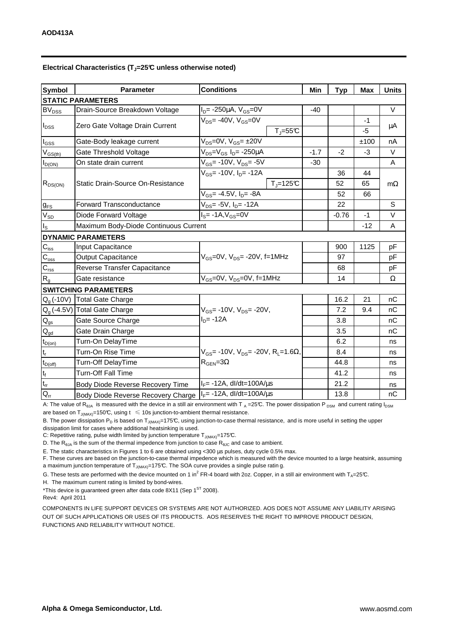| <b>Symbol</b>                | <b>Parameter</b>                                                      | <b>Conditions</b>                                                               | Min    | <b>Typ</b> | <b>Max</b> | <b>Units</b> |  |  |  |  |  |  |
|------------------------------|-----------------------------------------------------------------------|---------------------------------------------------------------------------------|--------|------------|------------|--------------|--|--|--|--|--|--|
| <b>STATIC PARAMETERS</b>     |                                                                       |                                                                                 |        |            |            |              |  |  |  |  |  |  |
| <b>BV<sub>DSS</sub></b>      | Drain-Source Breakdown Voltage                                        | $I_D = -250 \mu A$ , $V_{GS} = 0V$                                              | $-40$  |            |            | $\vee$       |  |  |  |  |  |  |
| $I_{DSS}$                    | Zero Gate Voltage Drain Current                                       | $V_{DS}$ = -40V, $V_{GS}$ = 0V                                                  |        |            | $-1$       | μA           |  |  |  |  |  |  |
|                              |                                                                       | $T_{J} = 55^{\circ}C$                                                           |        |            | -5         |              |  |  |  |  |  |  |
| l <sub>GSS</sub>             | Gate-Body leakage current                                             | $V_{DS} = 0V$ , $V_{GS} = \pm 20V$                                              |        |            | ±100       | nA           |  |  |  |  |  |  |
| $V_{GS(th)}$                 | $V_{DS} = V_{GS} I_D = -250 \mu A$<br>Gate Threshold Voltage          |                                                                                 | $-1.7$ | $-2$       | $-3$       | V            |  |  |  |  |  |  |
| $I_{D(ON)}$                  | On state drain current                                                | $V_{GS}$ = -10V, $V_{DS}$ = -5V                                                 | $-30$  |            |            | A            |  |  |  |  |  |  |
| $R_{DS(ON)}$                 |                                                                       | $V_{GS}$ = -10V, $I_{D}$ = -12A                                                 |        | 36         | 44         |              |  |  |  |  |  |  |
|                              | Static Drain-Source On-Resistance                                     | $T_i = 125C$                                                                    |        | 52         | 65         | $m\Omega$    |  |  |  |  |  |  |
|                              |                                                                       | $V_{GS}$ = -4.5V, $I_{D}$ = -8A                                                 |        | 52         | 66         |              |  |  |  |  |  |  |
| $g_{FS}$                     | $V_{DS} = -5V$ , $I_{D} = -12A$<br><b>Forward Transconductance</b>    |                                                                                 |        | 22         |            | S            |  |  |  |  |  |  |
| $\mathsf{V}_{\mathsf{SD}}$   | Diode Forward Voltage                                                 | $IS= -1A, VGS=0V$                                                               |        | $-0.76$    | $-1$       | V            |  |  |  |  |  |  |
| $I_{\rm S}$                  | Maximum Body-Diode Continuous Current                                 |                                                                                 |        | $-12$      | A          |              |  |  |  |  |  |  |
|                              | <b>DYNAMIC PARAMETERS</b>                                             |                                                                                 |        |            |            |              |  |  |  |  |  |  |
| $C_{\text{iss}}$             | Input Capacitance                                                     |                                                                                 |        | 900        | 1125       | pF           |  |  |  |  |  |  |
| $\mathsf{C}_{\mathrm{oss}}$  | Output Capacitance                                                    | $V_{GS}$ =0V, $V_{DS}$ = -20V, f=1MHz                                           |        | 97         |            | pF           |  |  |  |  |  |  |
| $C_{\rm rss}$                | Reverse Transfer Capacitance                                          |                                                                                 |        | 68         |            | pF           |  |  |  |  |  |  |
| $R_{g}$                      | Gate resistance                                                       | $V_{GS}$ =0V, $V_{DS}$ =0V, f=1MHz                                              |        | 14         |            | Ω            |  |  |  |  |  |  |
| <b>SWITCHING PARAMETERS</b>  |                                                                       |                                                                                 |        |            |            |              |  |  |  |  |  |  |
| $Q_q(-10V)$                  | <b>Total Gate Charge</b>                                              |                                                                                 |        | 16.2       | 21         | nC           |  |  |  |  |  |  |
|                              | $Q_g$ (-4.5V) Total Gate Charge<br>$V_{GS}$ = -10V, $V_{DS}$ = -20V,  |                                                                                 |        | 7.2        | 9.4        | nC           |  |  |  |  |  |  |
| $Q_{gs}$                     | Gate Source Charge                                                    | $I_{D} = -12A$                                                                  |        | 3.8        |            | nC           |  |  |  |  |  |  |
| $Q_{\text{gd}}$              | Gate Drain Charge                                                     |                                                                                 |        | 3.5        |            | nC           |  |  |  |  |  |  |
| $t_{D(on)}$                  | Turn-On DelayTime                                                     |                                                                                 |        | 6.2        |            | ns           |  |  |  |  |  |  |
| $t_r$                        | Turn-On Rise Time                                                     | $V_{\text{GS}}$ = -10V, $V_{\text{DS}}$ = -20V, R <sub>1</sub> = 1.6 $\Omega$ , |        | 8.4        |            | ns           |  |  |  |  |  |  |
| $t_{D(\text{off})}$          | Turn-Off DelayTime                                                    | $R_{\text{GEN}} = 3\Omega$                                                      |        | 44.8       |            | ns           |  |  |  |  |  |  |
| $t_f$                        | <b>Turn-Off Fall Time</b>                                             |                                                                                 |        | 41.2       |            | ns           |  |  |  |  |  |  |
| $t_{rr}$                     | $I_F$ = -12A, dl/dt=100A/ $\mu$ s<br>Body Diode Reverse Recovery Time |                                                                                 |        | 21.2       |            | ns           |  |  |  |  |  |  |
| $\bar{\mathsf{Q}}_\text{rr}$ | Body Diode Reverse Recovery Charge                                    | $I_F$ = -12A, dl/dt=100A/ $\mu$ s                                               |        | 13.8       |            | nC           |  |  |  |  |  |  |

A: The value of R<sub>BJA</sub> is measured with the device in a still air environment with T<sub>A</sub> = 25°C. The power dissipation P<sub>DSM</sub> and current rating I<sub>DSM</sub> are based on  $T_{J(MAX)}$ =150°C, using t  $\leq$  10s junction-to-ambient thermal resistance.

B. The power dissipation P<sub>D</sub> is based on T<sub>J(MAX)</sub>=175°C, using junction-to-case thermal resistance, and is more useful in setting the upper

dissipation limit for cases where additional heatsinking is used.

C: Repetitive rating, pulse width limited by junction temperature  $T_{J(MAX)}$ =175°C.

D. The  $R_{AJA}$  is the sum of the thermal impedence from junction to case  $R_{BJC}$  and case to ambient.

-20 E. The static characteristics in Figures 1 to 6 are obtained using <300 µs pulses, duty cycle 0.5% max.

F. These curves are based on the junction-to-case thermal impedence which is measured with the device mounted to a large heatsink, assuming a maximum junction temperature of  $T_{J(MAX)}$ =175°C. The SOA curve provides a single pulse ratin g.

G. These tests are performed with the device mounted on 1 in<sup>2</sup> FR-4 board with 2oz. Copper, in a still air environment with T<sub>A</sub>=25°C.

H. The maximum current rating is limited by bond-wires.

\*This device is guaranteed green after data code 8X11 (Sep  $1<sup>ST</sup>$  2008). Rev4: April 2011

COMPONENTS IN LIFE SUPPORT DEVICES OR SYSTEMS ARE NOT AUTHORIZED. AOS DOES NOT ASSUME ANY LIABILITY ARISING OUT OF SUCH APPLICATIONS OR USES OF ITS PRODUCTS. AOS RESERVES THE RIGHT TO IMPROVE PRODUCT DESIGN, FUNCTIONS AND RELIABILITY WITHOUT NOTICE.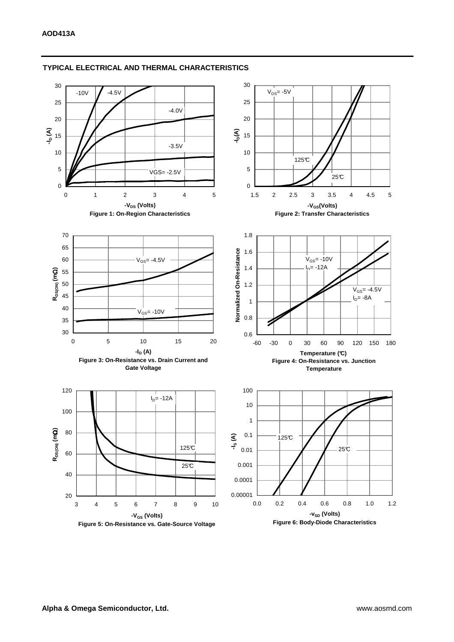

## **TYPICAL ELECTRICAL AND THERMAL CHARACTERISTICS**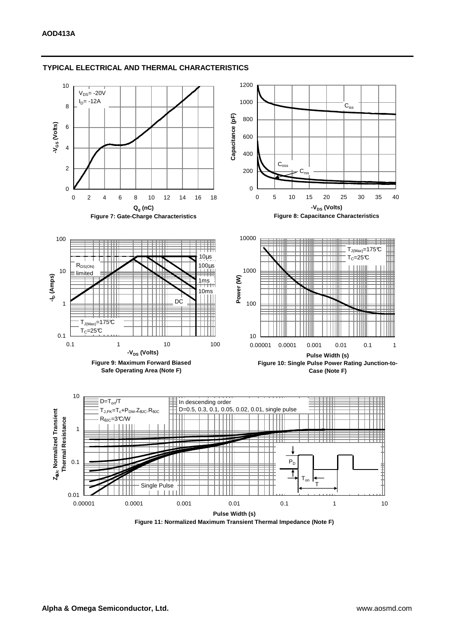

#### **TYPICAL ELECTRICAL AND THERMAL CHARACTERISTICS**

**Figure 11: Normalized Maximum Transient Thermal Impedance (Note F)**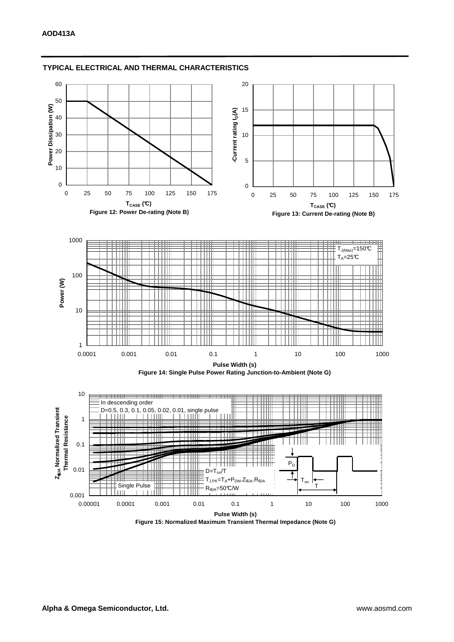

### **TYPICAL ELECTRICAL AND THERMAL CHARACTERISTICS**

**Figure 15: Normalized Maximum Transient Thermal Impedance (Note G)**